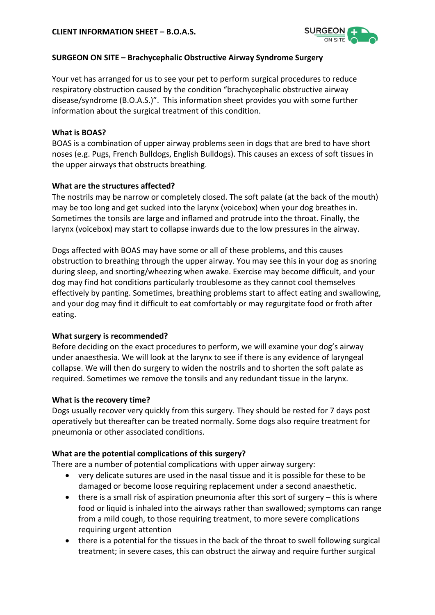

## **SURGEON ON SITE – Brachycephalic Obstructive Airway Syndrome Surgery**

Your vet has arranged for us to see your pet to perform surgical procedures to reduce respiratory obstruction caused by the condition "brachycephalic obstructive airway disease/syndrome (B.O.A.S.)". This information sheet provides you with some further information about the surgical treatment of this condition.

## **What is BOAS?**

BOAS is a combination of upper airway problems seen in dogs that are bred to have short noses (e.g. Pugs, French Bulldogs, English Bulldogs). This causes an excess of soft tissues in the upper airways that obstructs breathing.

## **What are the structures affected?**

The nostrils may be narrow or completely closed. The soft palate (at the back of the mouth) may be too long and get sucked into the larynx (voicebox) when your dog breathes in. Sometimes the tonsils are large and inflamed and protrude into the throat. Finally, the larynx (voicebox) may start to collapse inwards due to the low pressures in the airway.

Dogs affected with BOAS may have some or all of these problems, and this causes obstruction to breathing through the upper airway. You may see this in your dog as snoring during sleep, and snorting/wheezing when awake. Exercise may become difficult, and your dog may find hot conditions particularly troublesome as they cannot cool themselves effectively by panting. Sometimes, breathing problems start to affect eating and swallowing, and your dog may find it difficult to eat comfortably or may regurgitate food or froth after eating.

# **What surgery is recommended?**

Before deciding on the exact procedures to perform, we will examine your dog's airway under anaesthesia. We will look at the larynx to see if there is any evidence of laryngeal collapse. We will then do surgery to widen the nostrils and to shorten the soft palate as required. Sometimes we remove the tonsils and any redundant tissue in the larynx.

### **What is the recovery time?**

Dogs usually recover very quickly from this surgery. They should be rested for 7 days post operatively but thereafter can be treated normally. Some dogs also require treatment for pneumonia or other associated conditions.

# **What are the potential complications of this surgery?**

There are a number of potential complications with upper airway surgery:

- very delicate sutures are used in the nasal tissue and it is possible for these to be damaged or become loose requiring replacement under a second anaesthetic.
- there is a small risk of aspiration pneumonia after this sort of surgery this is where food or liquid is inhaled into the airways rather than swallowed; symptoms can range from a mild cough, to those requiring treatment, to more severe complications requiring urgent attention
- there is a potential for the tissues in the back of the throat to swell following surgical treatment; in severe cases, this can obstruct the airway and require further surgical